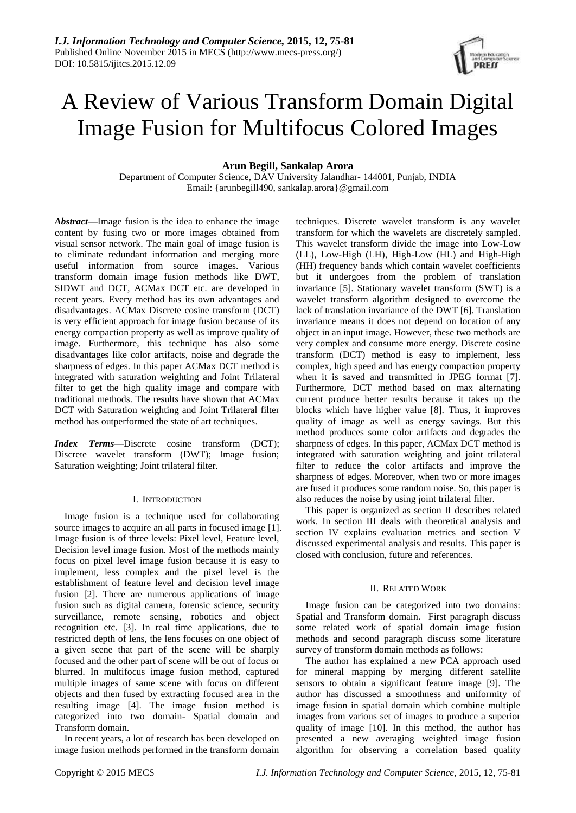

# A Review of Various Transform Domain Digital Image Fusion for Multifocus Colored Images

# **Arun Begill, Sankalap Arora**

Department of Computer Science, DAV University Jalandhar- 144001, Punjab, INDIA Email: {arunbegill490, sankalap.arora}@gmail.com

*Abstract***—**Image fusion is the idea to enhance the image content by fusing two or more images obtained from visual sensor network. The main goal of image fusion is to eliminate redundant information and merging more useful information from source images. Various transform domain image fusion methods like DWT, SIDWT and DCT, ACMax DCT etc. are developed in recent years. Every method has its own advantages and disadvantages. ACMax Discrete cosine transform (DCT) is very efficient approach for image fusion because of its energy compaction property as well as improve quality of image. Furthermore, this technique has also some disadvantages like color artifacts, noise and degrade the sharpness of edges. In this paper ACMax DCT method is integrated with saturation weighting and Joint Trilateral filter to get the high quality image and compare with traditional methods. The results have shown that ACMax DCT with Saturation weighting and Joint Trilateral filter method has outperformed the state of art techniques.

*Index Terms***—**Discrete cosine transform (DCT); Discrete wavelet transform (DWT); Image fusion; Saturation weighting; Joint trilateral filter.

# I. INTRODUCTION

Image fusion is a technique used for collaborating source images to acquire an all parts in focused image [1]. Image fusion is of three levels: Pixel level, Feature level, Decision level image fusion. Most of the methods mainly focus on pixel level image fusion because it is easy to implement, less complex and the pixel level is the establishment of feature level and decision level image fusion [2]. There are numerous applications of image fusion such as digital camera, forensic science, security surveillance, remote sensing, robotics and object recognition etc. [3]. In real time applications, due to restricted depth of lens, the lens focuses on one object of a given scene that part of the scene will be sharply focused and the other part of scene will be out of focus or blurred. In multifocus image fusion method, captured multiple images of same scene with focus on different objects and then fused by extracting focused area in the resulting image [4]. The image fusion method is categorized into two domain- Spatial domain and Transform domain.

In recent years, a lot of research has been developed on image fusion methods performed in the transform domain

techniques. Discrete wavelet transform is any wavelet transform for which the wavelets are discretely sampled. This wavelet transform divide the image into Low-Low (LL), Low-High (LH), High-Low (HL) and High-High (HH) frequency bands which contain wavelet coefficients but it undergoes from the problem of translation invariance [5]. Stationary wavelet transform (SWT) is a wavelet transform algorithm designed to overcome the lack of translation invariance of the DWT [6]. Translation invariance means it does not depend on location of any object in an input image. However, these two methods are very complex and consume more energy. Discrete cosine transform (DCT) method is easy to implement, less complex, high speed and has energy compaction property when it is saved and transmitted in JPEG format [7]. Furthermore, DCT method based on max alternating current produce better results because it takes up the blocks which have higher value [8]. Thus, it improves quality of image as well as energy savings. But this method produces some color artifacts and degrades the sharpness of edges. In this paper, ACMax DCT method is integrated with saturation weighting and joint trilateral filter to reduce the color artifacts and improve the sharpness of edges. Moreover, when two or more images are fused it produces some random noise. So, this paper is also reduces the noise by using joint trilateral filter.

This paper is organized as section II describes related work. In section III deals with theoretical analysis and section IV explains evaluation metrics and section V discussed experimental analysis and results. This paper is closed with conclusion, future and references.

## II. RELATED WORK

Image fusion can be categorized into two domains: Spatial and Transform domain. First paragraph discuss some related work of spatial domain image fusion methods and second paragraph discuss some literature survey of transform domain methods as follows:

The author has explained a new PCA approach used for mineral mapping by merging different satellite sensors to obtain a significant feature image [9]. The author has discussed a smoothness and uniformity of image fusion in spatial domain which combine multiple images from various set of images to produce a superior quality of image [10]. In this method, the author has presented a new averaging weighted image fusion algorithm for observing a correlation based quality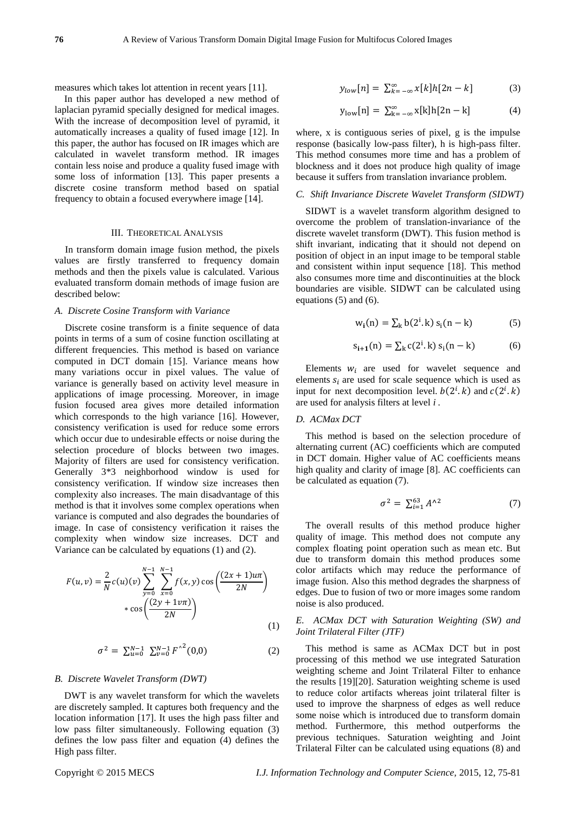measures which takes lot attention in recent years [11].

In this paper author has developed a new method of laplacian pyramid specially designed for medical images. With the increase of decomposition level of pyramid, it automatically increases a quality of fused image [12]. In this paper, the author has focused on IR images which are calculated in wavelet transform method. IR images contain less noise and produce a quality fused image with some loss of information [13]. This paper presents a discrete cosine transform method based on spatial frequency to obtain a focused everywhere image [14].

#### III. THEORETICAL ANALYSIS

In transform domain image fusion method, the pixels values are firstly transferred to frequency domain methods and then the pixels value is calculated. Various evaluated transform domain methods of image fusion are described below:

#### *A. Discrete Cosine Transform with Variance*

Discrete cosine transform is a finite sequence of data points in terms of a sum of cosine function oscillating at different frequencies. This method is based on variance computed in DCT domain [15]. Variance means how many variations occur in pixel values. The value of variance is generally based on activity level measure in applications of image processing. Moreover, in image fusion focused area gives more detailed information which corresponds to the high variance [16]. However, consistency verification is used for reduce some errors which occur due to undesirable effects or noise during the selection procedure of blocks between two images. Majority of filters are used for consistency verification. Generally 3\*3 neighborhood window is used for consistency verification. If window size increases then complexity also increases. The main disadvantage of this method is that it involves some complex operations when variance is computed and also degrades the boundaries of image. In case of consistency verification it raises the complexity when window size increases. DCT and Variance can be calculated by equations (1) and (2).

$$
F(u, v) = \frac{2}{N}c(u)(v)\sum_{y=0}^{N-1}\sum_{x=0}^{N-1}f(x, y)\cos\left(\frac{(2x+1)u\pi}{2N}\right) \cdot \cos\left(\frac{(2y+1)v\pi}{2N}\right)
$$
\n(1)

$$
\sigma^2 = \sum_{u=0}^{N-1} \sum_{v=0}^{N-1} F^{\wedge 2}(0,0) \tag{2}
$$

#### *B. Discrete Wavelet Transform (DWT)*

DWT is any wavelet transform for which the wavelets are discretely sampled. It captures both frequency and the location information [17]. It uses the high pass filter and low pass filter simultaneously. Following equation (3) defines the low pass filter and equation (4) defines the High pass filter.

$$
y_{low}[n] = \sum_{k=-\infty}^{\infty} x[k]h[2n-k] \tag{3}
$$

$$
y_{\text{low}}[n] = \sum_{k=-\infty}^{\infty} x[k]h[2n-k] \tag{4}
$$

where, x is contiguous series of pixel, g is the impulse response (basically low-pass filter), h is high-pass filter. This method consumes more time and has a problem of blockness and it does not produce high quality of image because it suffers from translation invariance problem.

#### *C. Shift Invariance Discrete Wavelet Transform (SIDWT)*

SIDWT is a wavelet transform algorithm designed to overcome the problem of translation-invariance of the discrete wavelet transform (DWT). This fusion method is shift invariant, indicating that it should not depend on position of object in an input image to be temporal stable and consistent within input sequence [18]. This method also consumes more time and discontinuities at the block boundaries are visible. SIDWT can be calculated using equations (5) and (6).

$$
w_i(n) = \sum_k b(2^i, k) s_i(n - k)
$$
 (5)

$$
s_{i+1}(n) = \sum_{k} c(2^{i}.k) s_i(n-k)
$$
 (6)

Elements  $w_i$  are used for wavelet sequence and elements  $s_i$  are used for scale sequence which is used as input for next decomposition level.  $b(2^i, k)$  and  $c(2^i, k)$ are used for analysis filters at level *i .*

#### *D. ACMax DCT*

This method is based on the selection procedure of alternating current (AC) coefficients which are computed in DCT domain. Higher value of AC coefficients means high quality and clarity of image [8]. AC coefficients can be calculated as equation (7).

$$
\sigma^2 = \sum_{i=1}^{63} A^{\wedge 2} \tag{7}
$$

The overall results of this method produce higher quality of image. This method does not compute any complex floating point operation such as mean etc. But due to transform domain this method produces some color artifacts which may reduce the performance of image fusion. Also this method degrades the sharpness of edges. Due to fusion of two or more images some random noise is also produced.

*E. ACMax DCT with Saturation Weighting (SW) and Joint Trilateral Filter (JTF)*

This method is same as ACMax DCT but in post processing of this method we use integrated Saturation weighting scheme and Joint Trilateral Filter to enhance the results [19][20]. Saturation weighting scheme is used to reduce color artifacts whereas joint trilateral filter is used to improve the sharpness of edges as well reduce some noise which is introduced due to transform domain method. Furthermore, this method outperforms the previous techniques. Saturation weighting and Joint Trilateral Filter can be calculated using equations (8) and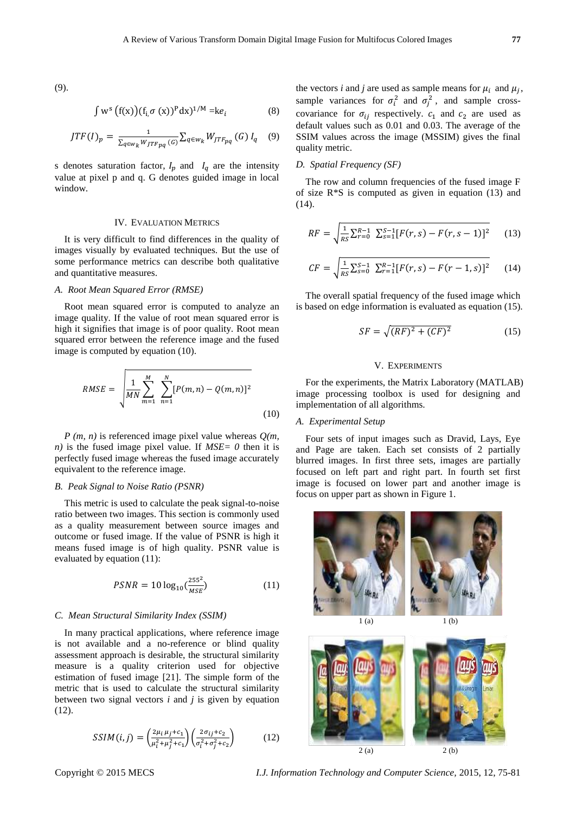(9).

$$
\int w^s \left( f(x) \right) (f_{i,\sigma}(x))^p dx^{1/M} = ke_i \tag{8}
$$

$$
JTF(I)_p = \frac{1}{\sum_{q \in w_k W_JTF_{pq}(G)} \sum_{q \in w_k} W_{JTF_{pq}}(G) I_q \quad (9)
$$

s denotes saturation factor,  $I_p$  and  $I_q$  are the intensity value at pixel p and q. G denotes guided image in local window.

#### IV. EVALUATION METRICS

It is very difficult to find differences in the quality of images visually by evaluated techniques. But the use of some performance metrics can describe both qualitative and quantitative measures.

## *A. Root Mean Squared Error (RMSE)*

Root mean squared error is computed to analyze an image quality. If the value of root mean squared error is high it signifies that image is of poor quality. Root mean squared error between the reference image and the fused image is computed by equation (10).

$$
RMSE = \sqrt{\frac{1}{MN} \sum_{m=1}^{M} \sum_{n=1}^{N} [P(m,n) - Q(m,n)]^2}
$$
\n(10)

*P (m, n)* is referenced image pixel value whereas *Q(m, n)* is the fused image pixel value. If *MSE= 0* then it is perfectly fused image whereas the fused image accurately equivalent to the reference image.

#### *B. Peak Signal to Noise Ratio (PSNR)*

This metric is used to calculate the peak signal-to-noise ratio between two images. This section is commonly used as a quality measurement between source images and outcome or fused image. If the value of PSNR is high it means fused image is of high quality. PSNR value is evaluated by equation (11):

$$
PSNR = 10 \log_{10} \left( \frac{255^2}{MSE} \right) \tag{11}
$$

#### *C. Mean Structural Similarity Index (SSIM)*

In many practical applications, where reference image is not available and a no-reference or blind quality assessment approach is desirable, the structural similarity measure is a quality criterion used for objective estimation of fused image [21]. The simple form of the metric that is used to calculate the structural similarity between two signal vectors *i* and *j* is given by equation (12).

$$
SSIM(i,j) = \left(\frac{2\mu_i \mu_j + c_1}{\mu_i^2 + \mu_j^2 + c_1}\right) \left(\frac{2\sigma_{ij} + c_2}{\sigma_i^2 + \sigma_j^2 + c_2}\right) \tag{12}
$$

the vectors *i* and *j* are used as sample means for  $\mu_i$  and  $\mu_j$ , sample variances for  $\sigma_i^2$  and  $\sigma_j^2$ , and sample crosscovariance for  $\sigma_{ii}$  respectively.  $c_1$  and  $c_2$  are used as default values such as 0.01 and 0.03. The average of the SSIM values across the image (MSSIM) gives the final quality metric.

## *D. Spatial Frequency (SF)*

The row and column frequencies of the fused image F of size R\*S is computed as given in equation (13) and (14).

$$
RF = \sqrt{\frac{1}{RS} \sum_{r=0}^{R-1} \sum_{s=1}^{S-1} [F(r,s) - F(r,s-1)]^2}
$$
 (13)

$$
CF = \sqrt{\frac{1}{RS} \sum_{s=0}^{S-1} \sum_{r=1}^{R-1} [F(r,s) - F(r-1,s)]^2}
$$
 (14)

The overall spatial frequency of the fused image which is based on edge information is evaluated as equation (15).

$$
SF = \sqrt{(RF)^2 + (CF)^2}
$$
\n<sup>(15)</sup>

#### V. EXPERIMENTS

For the experiments, the Matrix Laboratory (MATLAB) image processing toolbox is used for designing and implementation of all algorithms.

#### *A. Experimental Setup*

Four sets of input images such as Dravid, Lays, Eye and Page are taken. Each set consists of 2 partially blurred images. In first three sets, images are partially focused on left part and right part. In fourth set first image is focused on lower part and another image is focus on upper part as shown in Figure 1.





Copyright © 2015 MECS *I.J. Information Technology and Computer Science,* 2015, 12, 75-81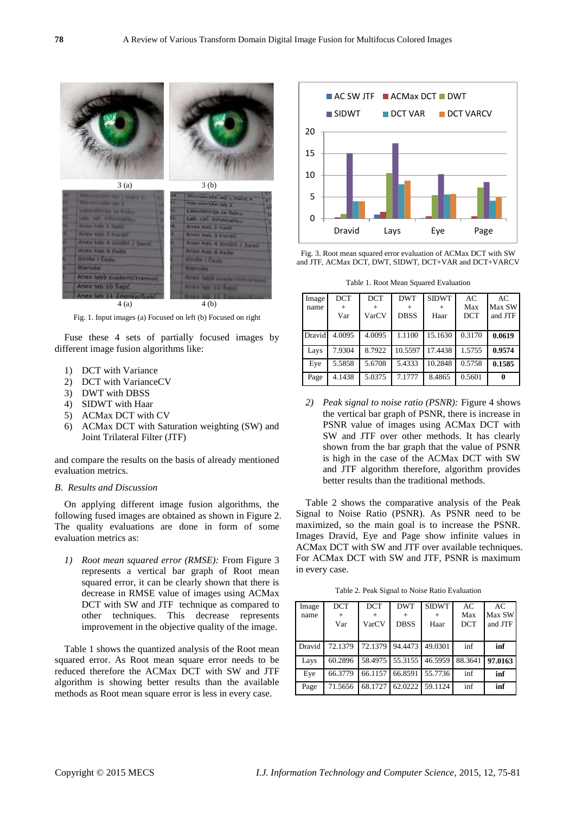

Fig. 1. Input images (a) Focused on left (b) Focused on right

Fuse these 4 sets of partially focused images by different image fusion algorithms like:

- 1) DCT with Variance
- 2) DCT with VarianceCV
- 3) DWT with DBSS
- 4) SIDWT with Haar
- 5) ACMax DCT with CV
- 6) ACMax DCT with Saturation weighting (SW) and Joint Trilateral Filter (JTF)

and compare the results on the basis of already mentioned evaluation metrics.

## *B. Results and Discussion*

On applying different image fusion algorithms, the following fused images are obtained as shown in Figure 2. The quality evaluations are done in form of some evaluation metrics as:

*1) Root mean squared error (RMSE):* From Figure 3 represents a vertical bar graph of Root mean squared error, it can be clearly shown that there is decrease in RMSE value of images using ACMax DCT with SW and JTF technique as compared to other techniques. This decrease represents improvement in the objective quality of the image.

Table 1 shows the quantized analysis of the Root mean squared error. As Root mean square error needs to be reduced therefore the ACMax DCT with SW and JTF algorithm is showing better results than the available methods as Root mean square error is less in every case.



Fig. 3. Root mean squared error evaluation of ACMax DCT with SW and JTF, ACMax DCT, DWT, SIDWT, DCT+VAR and DCT+VARCV

Table 1. Root Mean Squared Evaluation

| Image<br>name | <b>DCT</b><br>$\pm$<br>Var | <b>DCT</b><br>VarCV | <b>DWT</b><br><b>DBSS</b> | <b>SIDWT</b><br>Haar | AC<br>Max<br><b>DCT</b> | AC<br>Max SW<br>and JTF |
|---------------|----------------------------|---------------------|---------------------------|----------------------|-------------------------|-------------------------|
| Dravid        | 4.0095                     | 4.0095              | 1.1100                    | 15.1630              | 0.3170                  | 0.0619                  |
| Lays          | 7.9304                     | 8.7922              | 10.5597                   | 17.4438              | 1.5755                  | 0.9574                  |
| Eye           | 5.5858                     | 5.6708              | 5.4333                    | 10.2848              | 0.5758                  | 0.1585                  |
| Page          | 4.1438                     | 5.0375              | 7.1777                    | 8.4865               | 0.5601                  | 0                       |

*2) Peak signal to noise ratio (PSNR):* Figure 4 shows the vertical bar graph of PSNR, there is increase in PSNR value of images using ACMax DCT with SW and JTF over other methods. It has clearly shown from the bar graph that the value of PSNR is high in the case of the ACMax DCT with SW and JTF algorithm therefore, algorithm provides better results than the traditional methods.

Table 2 shows the comparative analysis of the Peak Signal to Noise Ratio (PSNR). As PSNR need to be maximized, so the main goal is to increase the PSNR. Images Dravid, Eye and Page show infinite values in ACMax DCT with SW and JTF over available techniques. For ACMax DCT with SW and JTF, PSNR is maximum in every case.

Table 2. Peak Signal to Noise Ratio Evaluation

| Image<br>name | <b>DCT</b><br>$^+$<br>Var | <b>DCT</b><br>VarCV | <b>DWT</b><br><b>DBSS</b> | <b>SIDWT</b><br>Haar | AC<br>Max<br><b>DCT</b> | AC.<br>Max SW<br>and JTF |
|---------------|---------------------------|---------------------|---------------------------|----------------------|-------------------------|--------------------------|
| Dravid        | 72.1379                   | 72.1379             | 94.4473                   | 49.0301              | inf                     | inf                      |
| Lays          | 60.2896                   |                     | 58.4975 55.3155 46.5959   |                      | 88.3641                 | 97.0163                  |
| Eye           | 66.3779                   | 66.1157             |                           | 66.8591 55.7736      | inf                     | inf                      |
| Page          | 71.5656                   | 68.1727             |                           | 62.0222 59.1124      | inf                     | inf                      |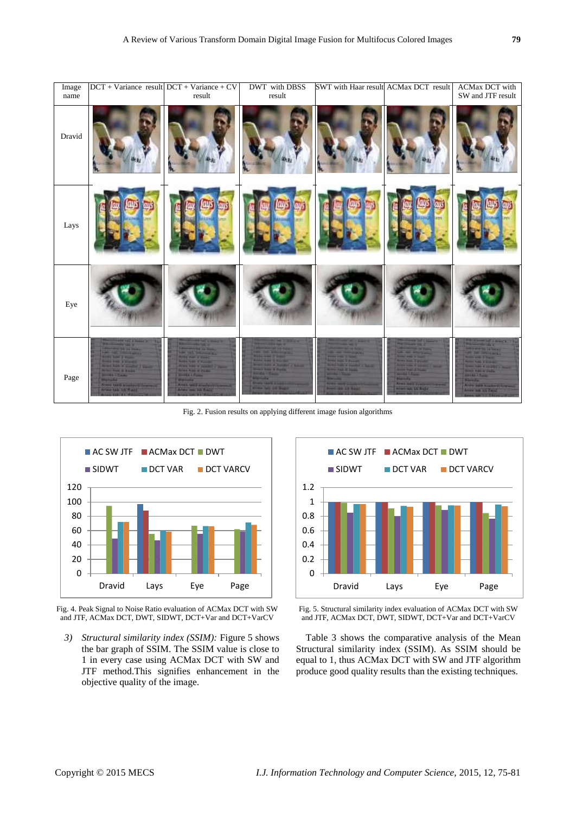| Image<br>name | $DCT + Variance$ result $DCT + Variance + CV$                                                                                                                                                                                                                                                                                                                                                               | result                                                                                                                                                                                                                                                                                                                  | <b>DWT</b> with DBSS<br>result                                                                                                                                                                                                 | SWT with Haar result ACMax DCT result                                                                                                                                                                           |                                                                                                                                                                                                                                                                                                      | <b>ACMax DCT</b> with<br>SW and JTF result                                                                                                                                                                                                                                                                          |
|---------------|-------------------------------------------------------------------------------------------------------------------------------------------------------------------------------------------------------------------------------------------------------------------------------------------------------------------------------------------------------------------------------------------------------------|-------------------------------------------------------------------------------------------------------------------------------------------------------------------------------------------------------------------------------------------------------------------------------------------------------------------------|--------------------------------------------------------------------------------------------------------------------------------------------------------------------------------------------------------------------------------|-----------------------------------------------------------------------------------------------------------------------------------------------------------------------------------------------------------------|------------------------------------------------------------------------------------------------------------------------------------------------------------------------------------------------------------------------------------------------------------------------------------------------------|---------------------------------------------------------------------------------------------------------------------------------------------------------------------------------------------------------------------------------------------------------------------------------------------------------------------|
| Dravid        |                                                                                                                                                                                                                                                                                                                                                                                                             |                                                                                                                                                                                                                                                                                                                         |                                                                                                                                                                                                                                |                                                                                                                                                                                                                 |                                                                                                                                                                                                                                                                                                      |                                                                                                                                                                                                                                                                                                                     |
| Lays          |                                                                                                                                                                                                                                                                                                                                                                                                             |                                                                                                                                                                                                                                                                                                                         |                                                                                                                                                                                                                                |                                                                                                                                                                                                                 |                                                                                                                                                                                                                                                                                                      |                                                                                                                                                                                                                                                                                                                     |
| Eye           |                                                                                                                                                                                                                                                                                                                                                                                                             |                                                                                                                                                                                                                                                                                                                         |                                                                                                                                                                                                                                |                                                                                                                                                                                                                 |                                                                                                                                                                                                                                                                                                      |                                                                                                                                                                                                                                                                                                                     |
| Page          | <b>START INC &amp; ROLL (SC)</b><br><b>Continued by Link of</b><br>Allegation his 24 France<br><b>AND THE PROPERTY OF</b><br><b>ROAD ROAD &amp; Charles</b><br><b><i><u>Property and Company</u></i></b><br>North Life & Street of Persons<br><b>Rowsell Frank &amp; South &amp;</b><br><b>MORE CEASE</b><br><b>WASHED</b><br>Area book washing through<br>Anne tali in Fast"<br><b>THE VALUE OF STREET</b> | <b>Country State</b><br><b>Committee State</b><br><b>Alexandria In Trial</b><br>in all between.<br><b>Army Wall &amp; Basic</b><br><b>Robert Wales of Williams</b><br><b>Arms was a fundally</b><br><b>Allen Keep W Suite</b><br><b>Service Print</b><br><b>Ballion</b><br>Artest bei 2 strategitt<br>Area as an August | --<br><b>PERSONAL PROPERTY</b><br><b>Expertise</b><br><b>ANALYSIS CROOM</b><br>President & North Cl Valde<br>Street Loan & Books<br><b>SHARE THE</b><br><b>Building</b><br><b>Prove taxed Links</b><br>Arrest William Building | <b>The Second Second</b><br><b>Andel Has 3 Boxer</b><br><b>NATIONAL CORPORATION</b><br><b>North State of Taxable</b><br><b>STATISTICS</b><br><b>Stationary</b><br><b>Arms were a sense</b><br>Arers and 10 Kard | __<br><b>PERSONAL PROPERTY</b><br><b>State of the State</b><br>of an above the<br><b>Science of the American</b><br>Arms Sale T Window<br>Arrest with 4 Second L.<br><b>Service Printer of Persons</b><br><b>WARD LEAD</b><br><b>Alanda</b><br>ALCOHOL: NAT'L STATE OF<br><b>Aren all Ill Rail C</b> | <b>Contract of America</b><br><b>HANNAH ALE</b><br><b>LEARNER OF BEAT</b><br>on the control states<br><b>American Fillman</b><br><b>American Fisheri</b><br>Armed Harn & Hawker + House<br><b>Sevent Hotel &amp; Vicker</b><br><b>SHART TANKS</b><br><b>Sheeting</b><br>Anny 14th States School<br>Assembly Village |

Fig. 2. Fusion results on applying different image fusion algorithms



Fig. 4. Peak Signal to Noise Ratio evaluation of ACMax DCT with SW and JTF, ACMax DCT, DWT, SIDWT, DCT+Var and DCT+VarCV

*3) Structural similarity index (SSIM):* Figure 5 shows the bar graph of SSIM. The SSIM value is close to 1 in every case using ACMax DCT with SW and JTF method.This signifies enhancement in the objective quality of the image.



Fig. 5. Structural similarity index evaluation of ACMax DCT with SW and JTF, ACMax DCT, DWT, SIDWT, DCT+Var and DCT+VarCV

Table 3 shows the comparative analysis of the Mean Structural similarity index (SSIM). As SSIM should be equal to 1, thus ACMax DCT with SW and JTF algorithm produce good quality results than the existing techniques.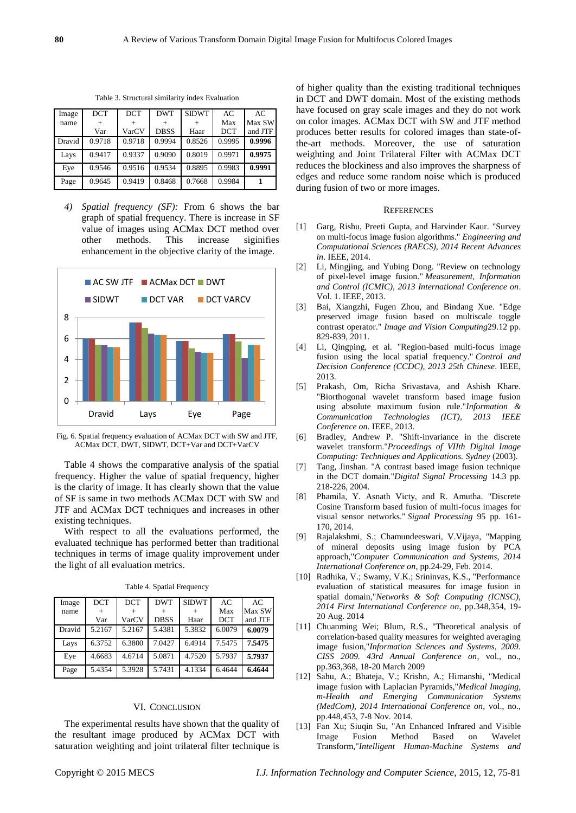| Image  | <b>DCT</b> | <b>DCT</b> | <b>DWT</b>  | <b>SIDWT</b> | AC         | AC      |
|--------|------------|------------|-------------|--------------|------------|---------|
| name   | $^{+}$     |            |             |              | Max        | Max SW  |
|        | Var        | VarCV      | <b>DBSS</b> | Haar         | <b>DCT</b> | and JTF |
| Dravid | 0.9718     | 0.9718     | 0.9994      | 0.8526       | 0.9995     | 0.9996  |
| Lays   | 0.9417     | 0.9337     | 0.9090      | 0.8019       | 0.9971     | 0.9975  |
| Eye    | 0.9546     | 0.9516     | 0.9534      | 0.8895       | 0.9983     | 0.9991  |
| Page   | 0.9645     | 0.9419     | 0.8468      | 0.7668       | 0.9984     |         |

Table 3. Structural similarity index Evaluation

*4) Spatial frequency (SF):* From 6 shows the bar graph of spatial frequency. There is increase in SF value of images using ACMax DCT method over other methods. This increase siginifies enhancement in the objective clarity of the image.



Fig. 6. Spatial frequency evaluation of ACMax DCT with SW and JTF, ACMax DCT, DWT, SIDWT, DCT+Var and DCT+VarCV

Table 4 shows the comparative analysis of the spatial frequency. Higher the value of spatial frequency, higher is the clarity of image. It has clearly shown that the value of SF is same in two methods ACMax DCT with SW and JTF and ACMax DCT techniques and increases in other existing techniques.

With respect to all the evaluations performed, the evaluated technique has performed better than traditional techniques in terms of image quality improvement under the light of all evaluation metrics.

| Image  | <b>DCT</b> | <b>DCT</b> | <b>DWT</b>  | <b>SIDWT</b> | AC         | AC      |
|--------|------------|------------|-------------|--------------|------------|---------|
| name   | $^+$       |            |             | $\pm$        | Max        | Max SW  |
|        | Var        | VarCV      | <b>DBSS</b> | Haar         | <b>DCT</b> | and JTF |
| Dravid | 5.2167     | 5.2167     | 5.4381      | 5.3832       | 6.0079     | 6.0079  |
| Lays   | 6.3752     | 6.3800     | 7.0427      | 6.4914       | 7.5475     | 7.5475  |
| Eye    | 4.6683     | 4.6714     | 5.0871      | 4.7520       | 5.7937     | 5.7937  |
| Page   | 5.4354     | 5.3928     | 5.7431      | 4.1334       | 6.4644     | 6.4644  |

Table 4. Spatial Frequency

## VI. CONCLUSION

The experimental results have shown that the quality of the resultant image produced by ACMax DCT with saturation weighting and joint trilateral filter technique is

of higher quality than the existing traditional techniques in DCT and DWT domain. Most of the existing methods have focused on gray scale images and they do not work on color images. ACMax DCT with SW and JTF method produces better results for colored images than state-ofthe-art methods. Moreover, the use of saturation weighting and Joint Trilateral Filter with ACMax DCT reduces the blockiness and also improves the sharpness of edges and reduce some random noise which is produced during fusion of two or more images.

#### **REFERENCES**

- [1] Garg, Rishu, Preeti Gupta, and Harvinder Kaur. "Survey on multi-focus image fusion algorithms." *Engineering and Computational Sciences (RAECS), 2014 Recent Advances in*. IEEE, 2014.
- [2] Li, Mingjing, and Yubing Dong. "Review on technology of pixel-level image fusion." *Measurement, Information and Control (ICMIC), 2013 International Conference on*. Vol. 1. IEEE, 2013.
- [3] Bai, Xiangzhi, Fugen Zhou, and Bindang Xue. "Edge preserved image fusion based on multiscale toggle contrast operator." *Image and Vision Computing*29.12 pp. 829-839, 2011.
- [4] Li, Qingping, et al. "Region-based multi-focus image fusion using the local spatial frequency." *Control and Decision Conference (CCDC), 2013 25th Chinese*. IEEE, 2013.
- [5] Prakash, Om, Richa Srivastava, and Ashish Khare. "Biorthogonal wavelet transform based image fusion using absolute maximum fusion rule."*Information & Communication Technologies (ICT), 2013 IEEE Conference on*. IEEE, 2013.
- [6] Bradley, Andrew P. "Shift-invariance in the discrete wavelet transform."*Proceedings of VIIth Digital Image Computing: Techniques and Applications. Sydney* (2003).
- [7] Tang, Jinshan. "A contrast based image fusion technique in the DCT domain."*Digital Signal Processing* 14.3 pp. 218-226, 2004.
- [8] Phamila, Y. Asnath Victy, and R. Amutha. "Discrete Cosine Transform based fusion of multi-focus images for visual sensor networks." *Signal Processing* 95 pp. 161- 170, 2014.
- [9] Rajalakshmi, S.; Chamundeeswari, V.Vijaya, "Mapping of mineral deposits using image fusion by PCA approach,"*Computer Communication and Systems, 2014 International Conference on*, pp.24-29, Feb. 2014.
- [10] Radhika, V.; Swamy, V.K.; Srininvas, K.S., "Performance evaluation of statistical measures for image fusion in spatial domain,"*Networks & Soft Computing (ICNSC), 2014 First International Conference on*, pp.348,354, 19- 20 Aug. 2014
- [11] Chuanming Wei; Blum, R.S., "Theoretical analysis of correlation-based quality measures for weighted averaging image fusion,"*Information Sciences and Systems, 2009. CISS 2009. 43rd Annual Conference on*, vol., no., pp.363,368, 18-20 March 2009
- [12] Sahu, A.; Bhateja, V.; Krishn, A.; Himanshi, "Medical image fusion with Laplacian Pyramids,"*Medical Imaging, m-Health and Emerging Communication Systems (MedCom), 2014 International Conference on*, vol., no., pp.448,453, 7-8 Nov. 2014.
- [13] Fan Xu; Siuqin Su, "An Enhanced Infrared and Visible Image Fusion Method Based on Transform,"*Intelligent Human-Machine Systems and*